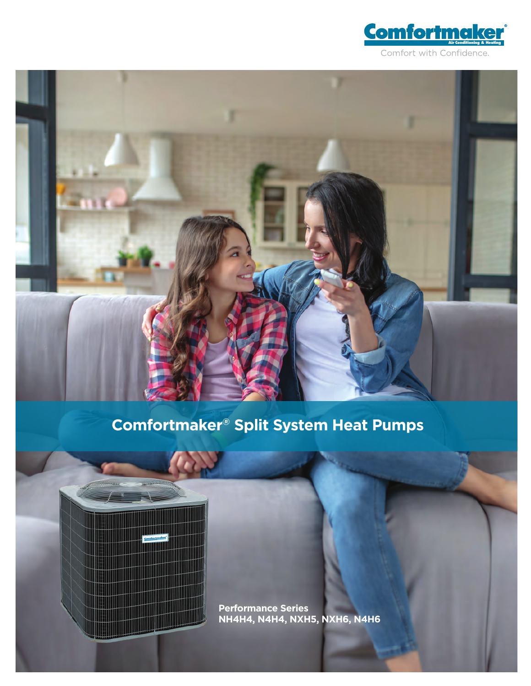

# **Comfortmaker® Split System Heat Pumps**



**Performance Series NH4H4, N4H4, NXH5, NXH6, N4H6**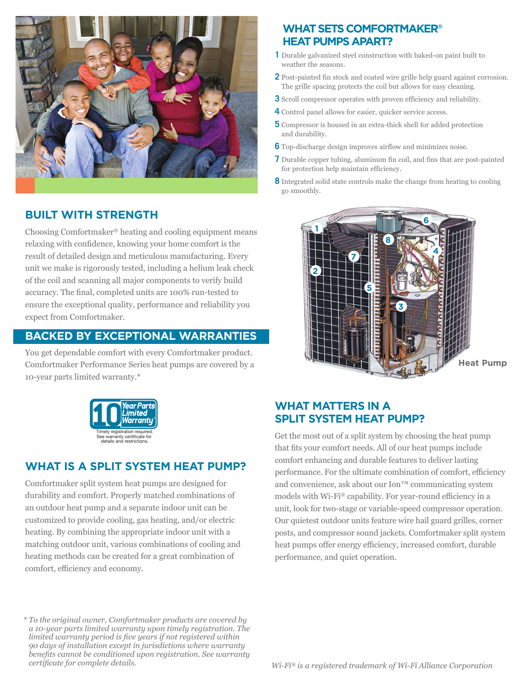

# **BUILT WITH STRENGTH**

Choosing Comfortmaker® heating and cooling equipment means relaxing with confidence, knowing your home comfort is the result of detailed design and meticulous manufacturing. Every unit we make is rigorously tested, including a helium leak check of the coil and scanning all major components to verify build accuracy. The final, completed units are 100% run-tested to ensure the exceptional quality, performance and reliability you expect from Comfortmaker.

### **BACKED BY EXCEPTIONAL WARRANTIES**

You get dependable comfort with every Comfortmaker product. Comfortmaker Performance Series heat pumps are covered by a 10-year parts limited warranty.\*



# **WHAT IS A SPLIT SYSTEM HEAT PUMP?**

Comfortmaker split system heat pumps are designed for durability and comfort. Properly matched combinations of an outdoor heat pump and a separate indoor unit can be customized to provide cooling, gas heating, and/or electric heating. By combining the appropriate indoor unit with a matching outdoor unit, various combinations of cooling and heating methods can be created for a great combination of comfort, efficiency and economy.

*\* To the original owner, Comfortmaker products are covered by a 10-year parts limited warranty upon timely registration. The limited warranty period is five years if not registered within 90 days of installation except in jurisdictions where warranty benefits cannot be conditioned upon registration. See warranty* 

## **WHAT SETS COMFORTMAKER® HEAT PUMPS APART?**

- **1** Durable galvanized steel construction with baked-on paint built to weather the seasons.
- **2** Post-painted fin stock and coated wire grille help guard against corrosion. The grille spacing protects the coil but allows for easy cleaning.
- **3** Scroll compressor operates with proven efficiency and reliability.
- **4** Control panel allows for easier, quicker service access.
- **5** Compressor is housed in an extra-thick shell for added protection and durability.
- **6** Top-discharge design improves airflow and minimizes noise.
- **7** Durable copper tubing, aluminum fin coil, and fins that are post-painted for protection help maintain efficiency.
- **8** Integrated solid state controls make the change from heating to cooling go smoothly.



# **WHAT MATTERS IN A SPLIT SYSTEM HEAT PUMP?**

Get the most out of a split system by choosing the heat pump that fits your comfort needs. All of our heat pumps include comfort enhancing and durable features to deliver lasting performance. For the ultimate combination of comfort, efficiency and convenience, ask about our Ion™ communicating system models with Wi-Fi® capability. For year-round efficiency in a unit, look for two-stage or variable-speed compressor operation. Our quietest outdoor units feature wire hail guard grilles, corner posts, and compressor sound jackets. Comfortmaker split system heat pumps offer energy efficiency, increased comfort, durable performance, and quiet operation.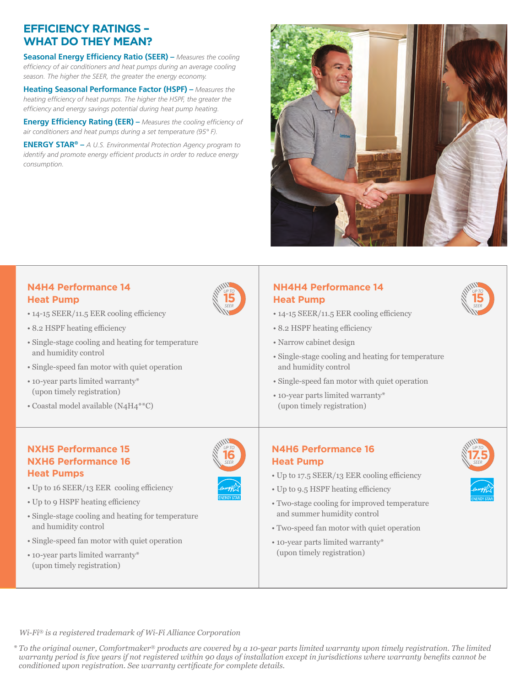# **EFFICIENCY RATINGS – WHAT DO THEY MEAN?**

**Seasonal Energy Efficiency Ratio (SEER) –** *Measures the cooling efficiency of air conditioners and heat pumps during an average cooling season. The higher the SEER, the greater the energy economy.*

**Heating Seasonal Performance Factor (HSPF) –** *Measures the heating efficiency of heat pumps. The higher the HSPF, the greater the efficiency and energy savings potential during heat pump heating.* 

**Energy Efficiency Rating (EER) –** *Measures the cooling efficiency of air conditioners and heat pumps during a set temperature (95° F).*

**ENERGY STAR® –** *A U.S. Environmental Protection Agency program to identify and promote energy efficient products in order to reduce energy consumption.*



#### **N4H4 Performance 14 Heat Pump**

- 14-15 SEER/11.5 EER cooling efficiency
- 8.2 HSPF heating efficiency
- Single-stage cooling and heating for temperature and humidity control
- Single-speed fan motor with quiet operation
- 10-year parts limited warranty\* (upon timely registration)
- Coastal model available (N4H4\*\*C)

#### **NXH5 Performance 15 NXH6 Performance 16 Heat Pumps**

- Up to 16 SEER/13 EER cooling efficiency
- Up to 9 HSPF heating efficiency
- Single-stage cooling and heating for temperature and humidity control
- Single-speed fan motor with quiet operation
- 10-year parts limited warranty\* (upon timely registration)



**16***SEER UP TO*

## **NH4H4 Performance 14 Heat Pump**

- 14-15 SEER/11.5 EER cooling efficiency
- 8.2 HSPF heating efficiency
- Narrow cabinet design
- Single-stage cooling and heating for temperature and humidity control
- Single-speed fan motor with quiet operation
- 10-year parts limited warranty\* (upon timely registration)

#### **N4H6 Performance 16 Heat Pump**

- Up to 17.5 SEER/13 EER cooling efficiency
- Up to 9.5 HSPF heating efficiency
- Two-stage cooling for improved temperature and summer humidity control
- Two-speed fan motor with quiet operation
- 10-year parts limited warranty\* (upon timely registration)



**15***SEER UP TO*

*Wi-Fi® is a registered trademark of Wi-Fi Alliance Corporation*

*\* To the original owner, Comfortmaker® products are covered by a 10-year parts limited warranty upon timely registration. The limited warranty period is five years if not registered within 90 days of installation except in jurisdictions where warranty benefits cannot be conditioned upon registration. See warranty certificate for complete details.*